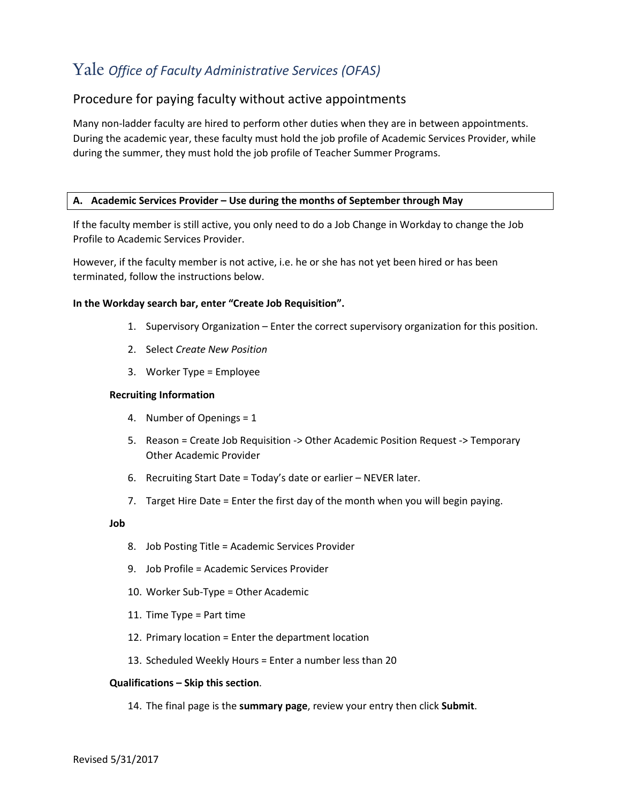# Yale *Office of Faculty Administrative Services (OFAS)*

## Procedure for paying faculty without active appointments

Many non-ladder faculty are hired to perform other duties when they are in between appointments. During the academic year, these faculty must hold the job profile of Academic Services Provider, while during the summer, they must hold the job profile of Teacher Summer Programs.

### **A. Academic Services Provider – Use during the months of September through May**

If the faculty member is still active, you only need to do a Job Change in Workday to change the Job Profile to Academic Services Provider.

However, if the faculty member is not active, i.e. he or she has not yet been hired or has been terminated, follow the instructions below.

### **In the Workday search bar, enter "Create Job Requisition".**

- 1. Supervisory Organization Enter the correct supervisory organization for this position.
- 2. Select *Create New Position*
- 3. Worker Type = Employee

#### **Recruiting Information**

- 4. Number of Openings = 1
- 5. Reason = Create Job Requisition -> Other Academic Position Request -> Temporary Other Academic Provider
- 6. Recruiting Start Date = Today's date or earlier NEVER later.
- 7. Target Hire Date = Enter the first day of the month when you will begin paying.

#### **Job**

- 8. Job Posting Title = Academic Services Provider
- 9. Job Profile = Academic Services Provider
- 10. Worker Sub-Type = Other Academic
- 11. Time Type = Part time
- 12. Primary location = Enter the department location
- 13. Scheduled Weekly Hours = Enter a number less than 20

#### **Qualifications – Skip this section**.

14. The final page is the **summary page**, review your entry then click **Submit**.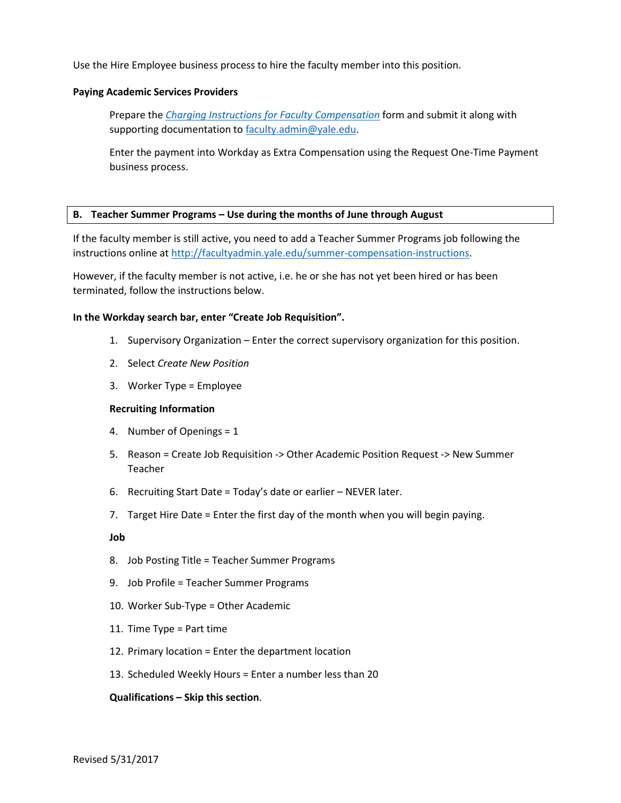Use the Hire Employee business process to hire the faculty member into this position.

#### **Paying Academic Services Providers**

Prepare the *[Charging Instructions for Faculty Compensation](http://facultyadmin.yale.edu/charging-instructions-faculty-compensation)* form and submit it along with supporting documentation to [faculty.admin@yale.edu.](mailto:faculty.admin@yale.edu)

Enter the payment into Workday as Extra Compensation using the Request One-Time Payment business process.

#### **B. Teacher Summer Programs – Use during the months of June through August**

If the faculty member is still active, you need to add a Teacher Summer Programs job following the instructions online at [http://facultyadmin.yale.edu/summer-compensation-instructions.](http://facultyadmin.yale.edu/summer-compensation-instructions)

However, if the faculty member is not active, i.e. he or she has not yet been hired or has been terminated, follow the instructions below.

### **In the Workday search bar, enter "Create Job Requisition".**

- 1. Supervisory Organization Enter the correct supervisory organization for this position.
- 2. Select *Create New Position*
- 3. Worker Type = Employee

#### **Recruiting Information**

- 4. Number of Openings = 1
- 5. Reason = Create Job Requisition -> Other Academic Position Request -> New Summer Teacher
- 6. Recruiting Start Date = Today's date or earlier NEVER later.
- 7. Target Hire Date = Enter the first day of the month when you will begin paying.

#### **Job**

- 8. Job Posting Title = Teacher Summer Programs
- 9. Job Profile = Teacher Summer Programs
- 10. Worker Sub-Type = Other Academic
- 11. Time Type = Part time
- 12. Primary location = Enter the department location
- 13. Scheduled Weekly Hours = Enter a number less than 20

#### **Qualifications – Skip this section**.